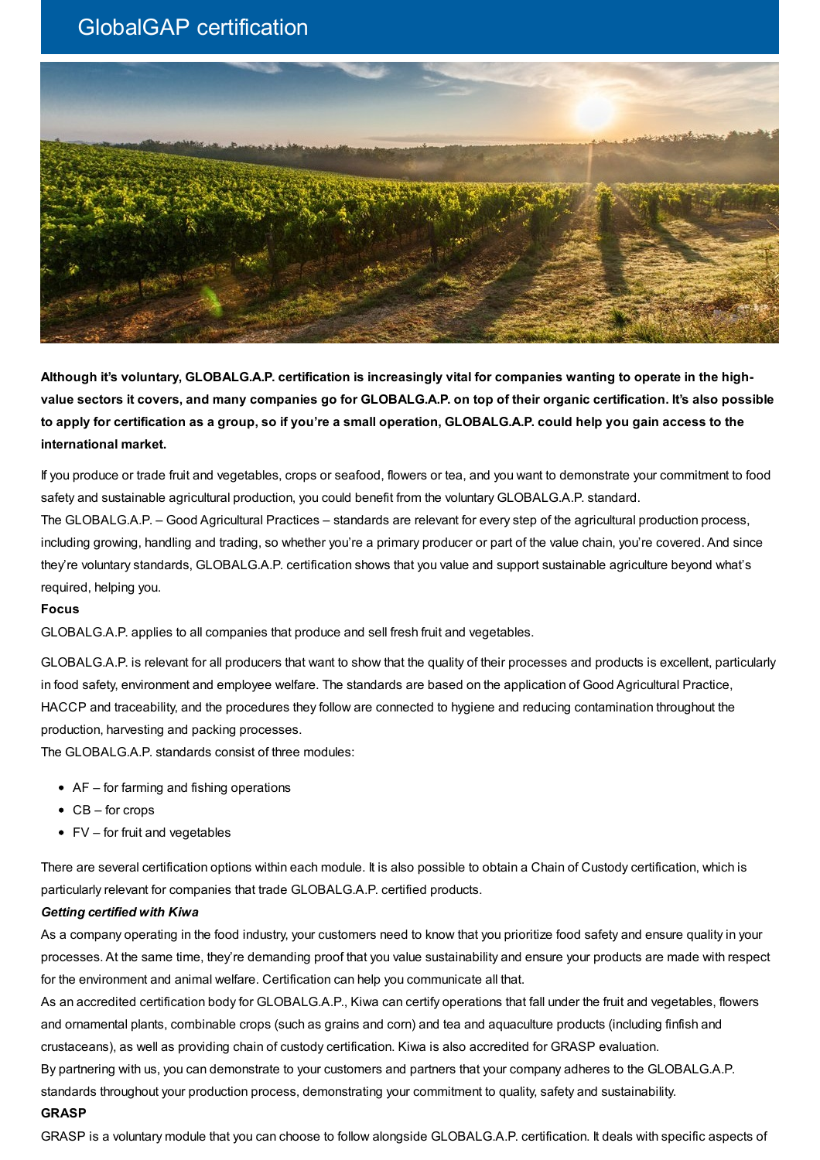# GlobalGAP certification



Although it's voluntary, GLOBALG.A.P. certification is increasingly vital for companies wanting to operate in the highvalue sectors it covers, and many companies go for GLOBALG.A.P. on top of their organic certification. It's also possible to apply for certification as a group, so if you're a small operation, GLOBALG.A.P. could help you gain access to the **international market.**

If you produce or trade fruit and vegetables, crops or seafood, flowers or tea, and you want to demonstrate your commitment to food safety and sustainable agricultural production, you could benefit from the voluntary GLOBALG.A.P. standard.

The GLOBALG.A.P. – Good Agricultural Practices – standards are relevant for every step of the agricultural production process, including growing, handling and trading, so whether you're a primary producer or part of the value chain, you're covered. And since they're voluntary standards, GLOBALG.A.P. certification shows that you value and support sustainable agriculture beyond what's required, helping you.

#### **Focus**

GLOBALG.A.P. applies to all companies that produce and sell fresh fruit and vegetables.

GLOBALG.A.P. is relevant for all producers that want to show that the quality of their processes and products is excellent, particularly in food safety, environment and employee welfare. The standards are based on the application of Good Agricultural Practice, HACCP and traceability, and the procedures they follow are connected to hygiene and reducing contamination throughout the production, harvesting and packing processes.

The GLOBALG.A.P. standards consist of three modules:

- AF for farming and fishing operations
- $\bullet$  CB for crops
- $\bullet$  FV for fruit and vegetables

There are several certification options within each module. It is also possible to obtain a Chain of Custody certification, which is particularly relevant for companies that trade GLOBALG.A.P. certified products.

### *Getting certified with Kiwa*

As a company operating in the food industry, your customers need to know that you prioritize food safety and ensure quality in your processes. At the same time, they're demanding proof that you value sustainability and ensure your products are made with respect for the environment and animal welfare. Certification can help you communicate all that.

As an accredited certification body for GLOBALG.A.P., Kiwa can certify operations that fall under the fruit and vegetables, flowers and ornamental plants, combinable crops (such as grains and corn) and tea and aquaculture products (including finfish and crustaceans), as well as providing chain of custody certification. Kiwa is also accredited for GRASP evaluation.

By partnering with us, you can demonstrate to your customers and partners that your company adheres to the GLOBALG.A.P. standards throughout your production process, demonstrating your commitment to quality, safety and sustainability.

#### **GRASP**

GRASP is a voluntary module that you can choose to follow alongside GLOBALG.A.P. certification. It deals with specific aspects of